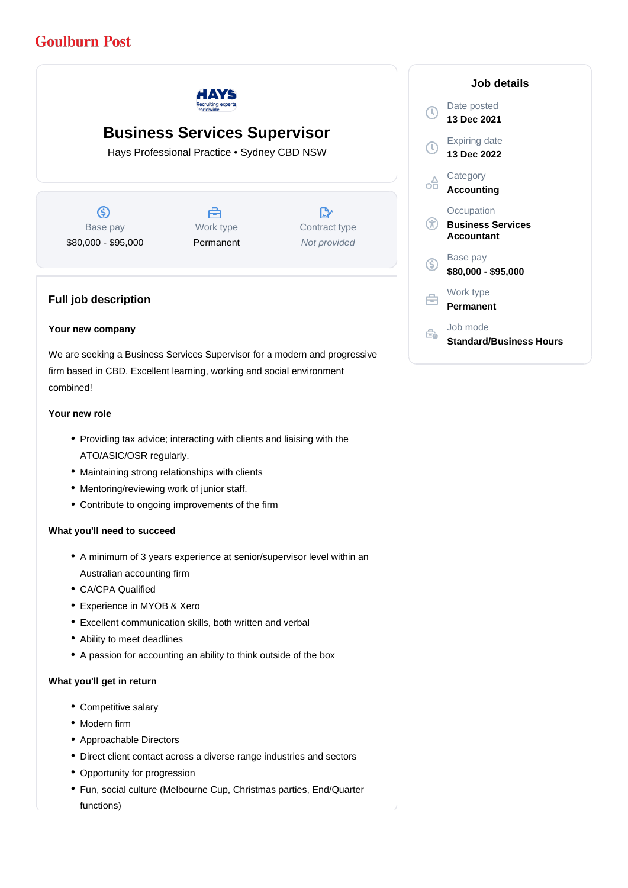# **Goulburn Post**



## **Business Services Supervisor**

Hays Professional Practice • Sydney CBD NSW

 $\circledS$ Base pay \$80,000 - \$95,000

Å Work type Permanent

 $\mathbb{R}^{\circ}$ Contract type Not provided

### **Full job description**

#### **Your new company**

We are seeking a Business Services Supervisor for a modern and progressive firm based in CBD. Excellent learning, working and social environment combined!

#### **Your new role**

- Providing tax advice; interacting with clients and liaising with the ATO/ASIC/OSR regularly.
- Maintaining strong relationships with clients
- Mentoring/reviewing work of junior staff.
- Contribute to ongoing improvements of the firm

#### **What you'll need to succeed**

- A minimum of 3 years experience at senior/supervisor level within an Australian accounting firm
- CA/CPA Qualified
- Experience in MYOB & Xero
- Excellent communication skills, both written and verbal
- Ability to meet deadlines
- A passion for accounting an ability to think outside of the box

#### **What you'll get in return**

- Competitive salary
- Modern firm
- Approachable Directors
- Direct client contact across a diverse range industries and sectors
- Opportunity for progression
- Fun, social culture (Melbourne Cup, Christmas parties, End/Quarter functions)

|    | Job details                                          |
|----|------------------------------------------------------|
| T) | Date posted<br>13 Dec 2021                           |
| J) | <b>Expiring date</b><br>13 Dec 2022                  |
|    | Category<br><b>Accounting</b>                        |
|    | Occupation<br><b>Business Services</b><br>Accountant |
| G) | Base pay<br>\$80,000 - \$95,000                      |
|    | Work type<br>Permanent                               |
|    | Job mode<br>Standard/Business Hours                  |